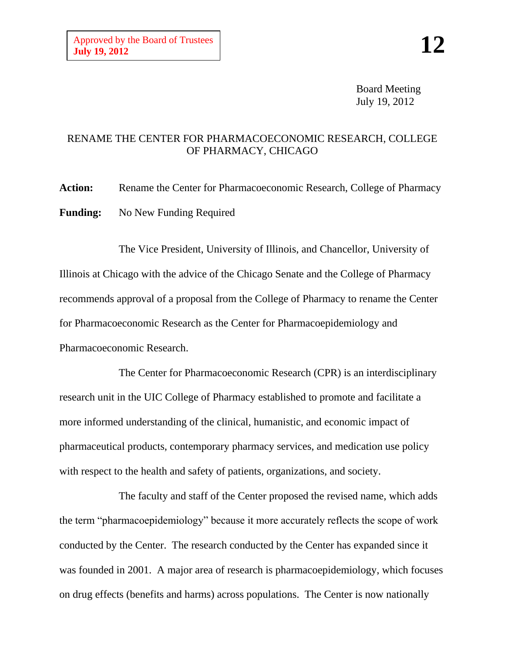Board Meeting July 19, 2012

## RENAME THE CENTER FOR PHARMACOECONOMIC RESEARCH, COLLEGE OF PHARMACY, CHICAGO

Action: Rename the Center for Pharmacoeconomic Research, College of Pharmacy **Funding:** No New Funding Required

The Vice President, University of Illinois, and Chancellor, University of Illinois at Chicago with the advice of the Chicago Senate and the College of Pharmacy recommends approval of a proposal from the College of Pharmacy to rename the Center for Pharmacoeconomic Research as the Center for Pharmacoepidemiology and Pharmacoeconomic Research.

The Center for Pharmacoeconomic Research (CPR) is an interdisciplinary research unit in the UIC College of Pharmacy established to promote and facilitate a more informed understanding of the clinical, humanistic, and economic impact of pharmaceutical products, contemporary pharmacy services, and medication use policy with respect to the health and safety of patients, organizations, and society.

The faculty and staff of the Center proposed the revised name, which adds the term "pharmacoepidemiology" because it more accurately reflects the scope of work conducted by the Center. The research conducted by the Center has expanded since it was founded in 2001. A major area of research is pharmacoepidemiology, which focuses on drug effects (benefits and harms) across populations. The Center is now nationally